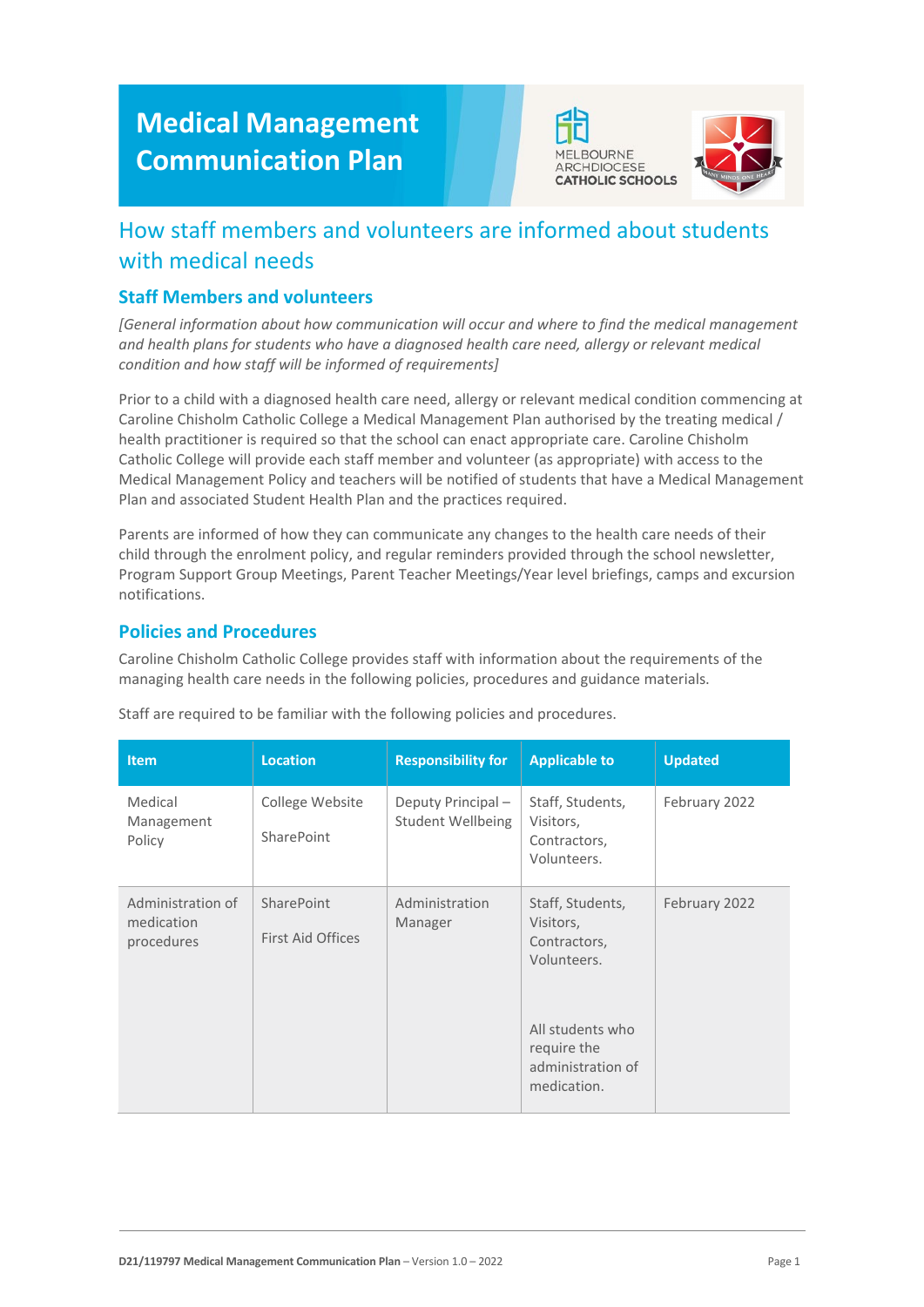# **Medical Management Communication Plan**





## How staff members and volunteers are informed about students with medical needs

#### **Staff Members and volunteers**

*[General information about how communication will occur and where to find the medical management and health plans for students who have a diagnosed health care need, allergy or relevant medical condition and how staff will be informed of requirements]*

Prior to a child with a diagnosed health care need, allergy or relevant medical condition commencing at Caroline Chisholm Catholic College a Medical Management Plan authorised by the treating medical / health practitioner is required so that the school can enact appropriate care. Caroline Chisholm Catholic College will provide each staff member and volunteer (as appropriate) with access to the Medical Management Policy and teachers will be notified of students that have a Medical Management Plan and associated Student Health Plan and the practices required.

Parents are informed of how they can communicate any changes to the health care needs of their child through the enrolment policy, and regular reminders provided through the school newsletter, Program Support Group Meetings, Parent Teacher Meetings/Year level briefings, camps and excursion notifications.

#### **Policies and Procedures**

Caroline Chisholm Catholic College provides staff with information about the requirements of the managing health care needs in the following policies, procedures and guidance materials.

| <b>Item</b>                                   | <b>Location</b>                        | <b>Responsibility for</b>              | <b>Applicable to</b>                                                | <b>Updated</b> |
|-----------------------------------------------|----------------------------------------|----------------------------------------|---------------------------------------------------------------------|----------------|
| Medical<br>Management<br>Policy               | College Website<br>SharePoint          | Deputy Principal-<br>Student Wellbeing | Staff, Students,<br>Visitors,<br>Contractors,<br>Volunteers.        | February 2022  |
| Administration of<br>medication<br>procedures | SharePoint<br><b>First Aid Offices</b> | Administration<br>Manager              | Staff, Students,<br>Visitors,<br>Contractors,<br>Volunteers.        | February 2022  |
|                                               |                                        |                                        | All students who<br>require the<br>administration of<br>medication. |                |

Staff are required to be familiar with the following policies and procedures.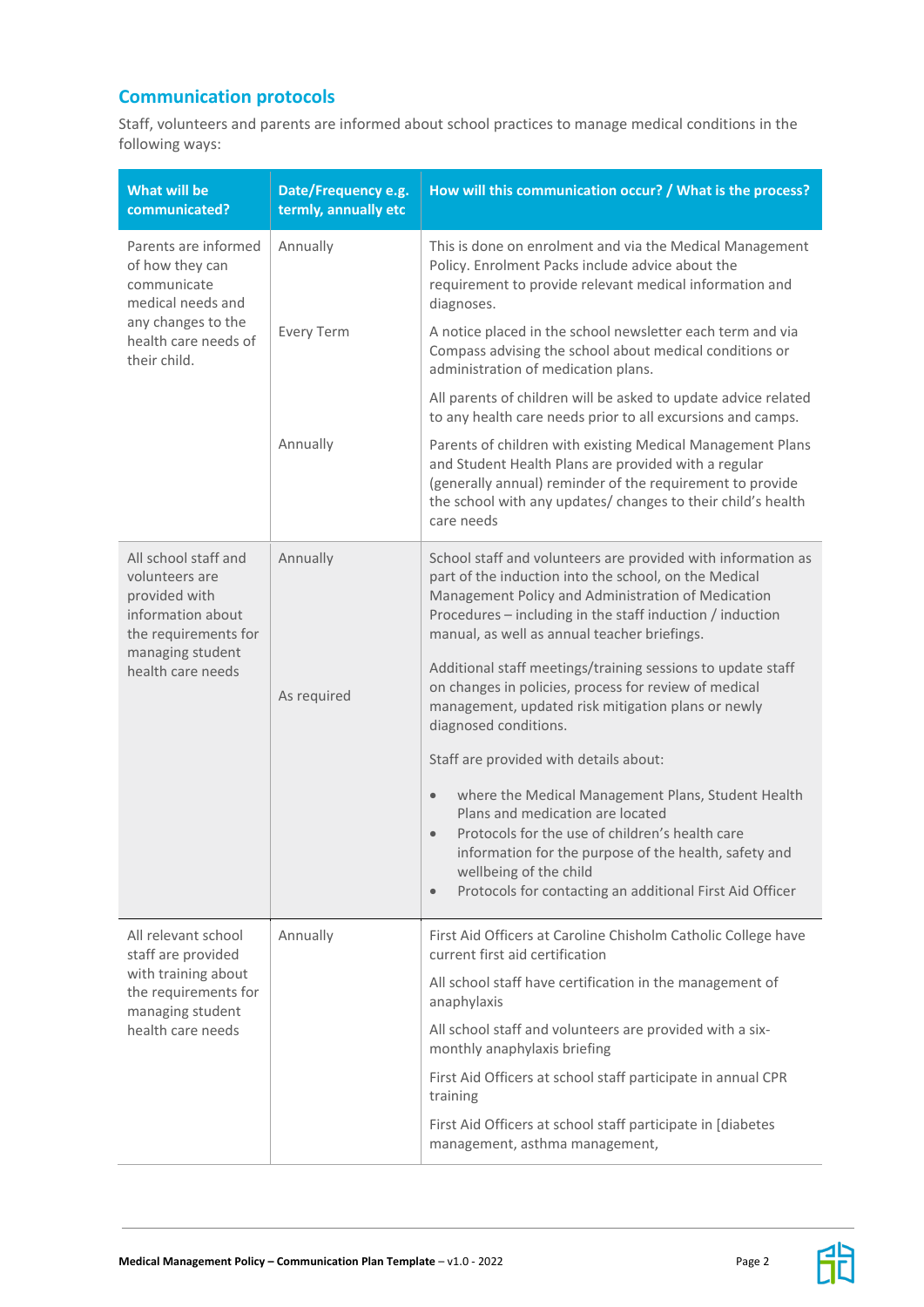### **Communication protocols**

Staff, volunteers and parents are informed about school practices to manage medical conditions in the following ways:

| <b>What will be</b><br>communicated?                                                                                                          | Date/Frequency e.g.<br>termly, annually etc | How will this communication occur? / What is the process?                                                                                                                                                                                                                                                                                                                                                                                                                                                                                                                                                                                                                                                                                                                                                                                                                    |
|-----------------------------------------------------------------------------------------------------------------------------------------------|---------------------------------------------|------------------------------------------------------------------------------------------------------------------------------------------------------------------------------------------------------------------------------------------------------------------------------------------------------------------------------------------------------------------------------------------------------------------------------------------------------------------------------------------------------------------------------------------------------------------------------------------------------------------------------------------------------------------------------------------------------------------------------------------------------------------------------------------------------------------------------------------------------------------------------|
| Parents are informed<br>of how they can<br>communicate<br>medical needs and<br>any changes to the<br>health care needs of<br>their child.     | Annually                                    | This is done on enrolment and via the Medical Management<br>Policy. Enrolment Packs include advice about the<br>requirement to provide relevant medical information and<br>diagnoses.                                                                                                                                                                                                                                                                                                                                                                                                                                                                                                                                                                                                                                                                                        |
|                                                                                                                                               | <b>Every Term</b>                           | A notice placed in the school newsletter each term and via<br>Compass advising the school about medical conditions or<br>administration of medication plans.                                                                                                                                                                                                                                                                                                                                                                                                                                                                                                                                                                                                                                                                                                                 |
|                                                                                                                                               |                                             | All parents of children will be asked to update advice related<br>to any health care needs prior to all excursions and camps.                                                                                                                                                                                                                                                                                                                                                                                                                                                                                                                                                                                                                                                                                                                                                |
|                                                                                                                                               | Annually                                    | Parents of children with existing Medical Management Plans<br>and Student Health Plans are provided with a regular<br>(generally annual) reminder of the requirement to provide<br>the school with any updates/ changes to their child's health<br>care needs                                                                                                                                                                                                                                                                                                                                                                                                                                                                                                                                                                                                                |
| All school staff and<br>volunteers are<br>provided with<br>information about<br>the requirements for<br>managing student<br>health care needs | Annually<br>As required                     | School staff and volunteers are provided with information as<br>part of the induction into the school, on the Medical<br>Management Policy and Administration of Medication<br>Procedures - including in the staff induction / induction<br>manual, as well as annual teacher briefings.<br>Additional staff meetings/training sessions to update staff<br>on changes in policies, process for review of medical<br>management, updated risk mitigation plans or newly<br>diagnosed conditions.<br>Staff are provided with details about:<br>where the Medical Management Plans, Student Health<br>$\bullet$<br>Plans and medication are located<br>Protocols for the use of children's health care<br>$\bullet$<br>information for the purpose of the health, safety and<br>wellbeing of the child<br>Protocols for contacting an additional First Aid Officer<br>$\bullet$ |
| All relevant school                                                                                                                           | Annually                                    | First Aid Officers at Caroline Chisholm Catholic College have                                                                                                                                                                                                                                                                                                                                                                                                                                                                                                                                                                                                                                                                                                                                                                                                                |
| staff are provided<br>with training about<br>the requirements for<br>managing student<br>health care needs                                    |                                             | current first aid certification<br>All school staff have certification in the management of<br>anaphylaxis                                                                                                                                                                                                                                                                                                                                                                                                                                                                                                                                                                                                                                                                                                                                                                   |
|                                                                                                                                               |                                             | All school staff and volunteers are provided with a six-<br>monthly anaphylaxis briefing                                                                                                                                                                                                                                                                                                                                                                                                                                                                                                                                                                                                                                                                                                                                                                                     |
|                                                                                                                                               |                                             | First Aid Officers at school staff participate in annual CPR<br>training                                                                                                                                                                                                                                                                                                                                                                                                                                                                                                                                                                                                                                                                                                                                                                                                     |
|                                                                                                                                               |                                             | First Aid Officers at school staff participate in [diabetes<br>management, asthma management,                                                                                                                                                                                                                                                                                                                                                                                                                                                                                                                                                                                                                                                                                                                                                                                |